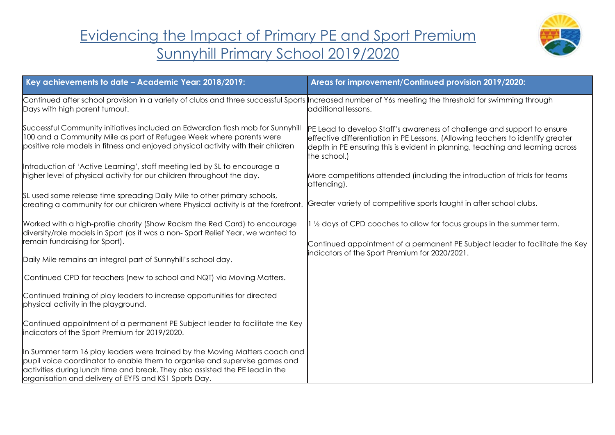## Evidencing the Impact of Primary PE and Sport Premium Sunnyhill Primary School 2019/2020



| Key achievements to date - Academic Year: 2018/2019:                                                                                                                                                                                                                                                | Areas for improvement/Continued provision 2019/2020:                                                                                                                                                                                                         |
|-----------------------------------------------------------------------------------------------------------------------------------------------------------------------------------------------------------------------------------------------------------------------------------------------------|--------------------------------------------------------------------------------------------------------------------------------------------------------------------------------------------------------------------------------------------------------------|
| Continued after school provision in a variety of clubs and three successful Sports Increased number of Y6s meeting the threshold for swimming through<br>Days with high parent turnout.                                                                                                             | additional lessons.                                                                                                                                                                                                                                          |
| Successful Community initiatives included an Edwardian flash mob for Sunnyhill<br>100 and a Community Mile as part of Refugee Week where parents were<br>positive role models in fitness and enjoyed physical activity with their children                                                          | PE Lead to develop Staff's awareness of challenge and support to ensure<br>effective differentiation in PE Lessons. (Allowing teachers to identify greater<br>depth in PE ensuring this is evident in planning, teaching and learning across<br>the school.) |
| Introduction of 'Active Learning', staff meeting led by SL to encourage a<br>higher level of physical activity for our children throughout the day.                                                                                                                                                 | More competitions attended (including the introduction of trials for teams<br>attending).                                                                                                                                                                    |
| SL used some release time spreading Daily Mile to other primary schools,<br>creating a community for our children where Physical activity is at the forefront.                                                                                                                                      | Greater variety of competitive sports taught in after school clubs.                                                                                                                                                                                          |
| Worked with a high-profile charity (Show Racism the Red Card) to encourage<br>diversity/role models in Sport (as it was a non-Sport Relief Year, we wanted to<br>remain fundraising for Sport).                                                                                                     | 1/2 days of CPD coaches to allow for focus groups in the summer term.<br>Continued appointment of a permanent PE Subject leader to facilitate the Key                                                                                                        |
| Daily Mile remains an integral part of Sunnyhill's school day.                                                                                                                                                                                                                                      | indicators of the Sport Premium for 2020/2021.                                                                                                                                                                                                               |
| Continued CPD for teachers (new to school and NQT) via Moving Matters.                                                                                                                                                                                                                              |                                                                                                                                                                                                                                                              |
| Continued training of play leaders to increase opportunities for directed<br>physical activity in the playground.                                                                                                                                                                                   |                                                                                                                                                                                                                                                              |
| Continued appointment of a permanent PE Subject leader to facilitate the Key<br>indicators of the Sport Premium for 2019/2020.                                                                                                                                                                      |                                                                                                                                                                                                                                                              |
| In Summer term 16 play leaders were trained by the Moving Matters coach and<br>pupil voice coordinator to enable them to organise and supervise games and<br>activities during lunch time and break. They also assisted the PE lead in the<br>organisation and delivery of EYFS and KS1 Sports Day. |                                                                                                                                                                                                                                                              |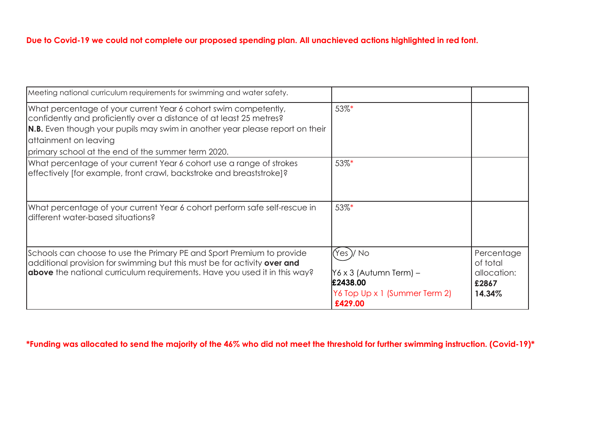## **Due to Covid-19 we could not complete our proposed spending plan. All unachieved actions highlighted in red font.**

| Meeting national curriculum requirements for swimming and water safety.                                                                                                                                                                                                                               |                                                                                             |                                                          |
|-------------------------------------------------------------------------------------------------------------------------------------------------------------------------------------------------------------------------------------------------------------------------------------------------------|---------------------------------------------------------------------------------------------|----------------------------------------------------------|
| What percentage of your current Year 6 cohort swim competently,<br>confidently and proficiently over a distance of at least 25 metres?<br>N.B. Even though your pupils may swim in another year please report on their<br>attainment on leaving<br>primary school at the end of the summer term 2020. | 53%*                                                                                        |                                                          |
|                                                                                                                                                                                                                                                                                                       |                                                                                             |                                                          |
| What percentage of your current Year 6 cohort use a range of strokes<br>effectively [for example, front crawl, backstroke and breaststroke]?                                                                                                                                                          | 53%*                                                                                        |                                                          |
| What percentage of your current Year 6 cohort perform safe self-rescue in<br>different water-based situations?                                                                                                                                                                                        | 53%*                                                                                        |                                                          |
| Schools can choose to use the Primary PE and Sport Premium to provide<br>additional provision for swimming but this must be for activity over and<br><b>above</b> the national curriculum requirements. Have you used it in this way?                                                                 | Yes )/ No<br>Y6 x 3 (Autumn Term) –<br>£2438.00<br>Y6 Top Up x 1 (Summer Term 2)<br>£429.00 | Percentage<br>of total<br>allocation:<br>£2867<br>14.34% |

## **\*Funding was allocated to send the majority of the 46% who did not meet the threshold for further swimming instruction. (Covid-19)\***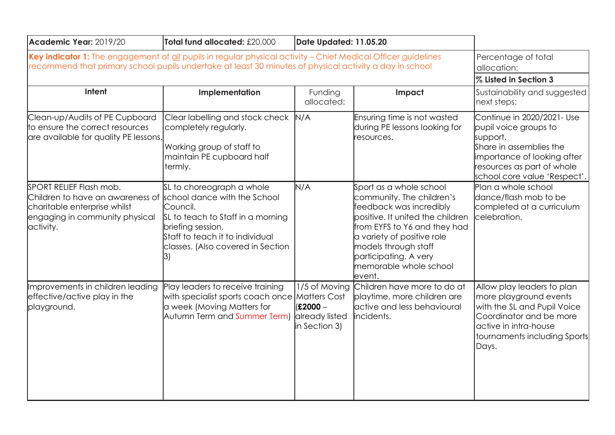| Academic Year: 2019/20                                                                                                                                                                                                   | Total fund allocated: £20,000                                                                                                                                                                           | Date Updated: 11.05.20                                         |                                                                                                                                                                                                                                                                         |                                                                                                                                                                                         |
|--------------------------------------------------------------------------------------------------------------------------------------------------------------------------------------------------------------------------|---------------------------------------------------------------------------------------------------------------------------------------------------------------------------------------------------------|----------------------------------------------------------------|-------------------------------------------------------------------------------------------------------------------------------------------------------------------------------------------------------------------------------------------------------------------------|-----------------------------------------------------------------------------------------------------------------------------------------------------------------------------------------|
| Key indicator 1: The engagement of all pupils in regular physical activity - Chief Medical Officer guidelines<br>recommend that primary school pupils undertake at least 30 minutes of physical activity a day in school |                                                                                                                                                                                                         |                                                                |                                                                                                                                                                                                                                                                         | Percentage of total<br>allocation:                                                                                                                                                      |
|                                                                                                                                                                                                                          |                                                                                                                                                                                                         |                                                                |                                                                                                                                                                                                                                                                         | % Listed in Section 3                                                                                                                                                                   |
| Intent                                                                                                                                                                                                                   | Implementation                                                                                                                                                                                          | Funding<br>allocated:                                          | Impact                                                                                                                                                                                                                                                                  | Sustainability and suggested<br>next steps:                                                                                                                                             |
| Clean-up/Audits of PE Cupboard<br>to ensure the correct resources<br>are available for quality PE lessons.                                                                                                               | Clear labelling and stock check N/A<br>completely regularly.<br>Working group of staff to<br>maintain PE cupboard half<br>termly.                                                                       |                                                                | Ensuring time is not wasted<br>during PE lessons looking for<br>resources.                                                                                                                                                                                              | Continue in 2020/2021- Use<br>pupil voice groups to<br>support.<br>Share in assemblies the<br>importance of looking after<br>resources as part of whole<br>school core value 'Respect'. |
| SPORT RELIEF Flash mob.<br>Children to have an awareness of<br>charitable enterprise whilst<br>engaging in community physical<br>activity.                                                                               | SL to choreograph a whole<br>school dance with the School<br>Council.<br>SL to teach to Staff in a morning<br>briefing session.<br>Staff to teach it to individual<br>classes. (Also covered in Section | N/A                                                            | Sport as a whole school<br>community. The children's<br>feedback was incredibly<br>positive. It united the children<br>from EYFS to Y6 and they had<br>a variety of positive role<br>models through staff<br>participating. A very<br>memorable whole school<br>levent. | Plan a whole school<br>dance/flash mob to be<br>completed at a curriculum<br>celebration.                                                                                               |
| Improvements in children leading<br>effective/active play in the<br>playground.                                                                                                                                          | Play leaders to receive training<br>with specialist sports coach once   Matters Cost<br>a week (Moving Matters for<br>Autumn Term and Summer Term)                                                      | 1/5 of Moving<br>$(E2000 -$<br>already listed<br>in Section 3) | Children have more to do at<br>playtime, more children are<br>active and less behavioural<br>incidents.                                                                                                                                                                 | Allow play leaders to plan<br>more playground events<br>with the SL and Pupil Voice<br>Coordinator and be more<br>active in intra-house<br>tournaments including Sports<br>Days.        |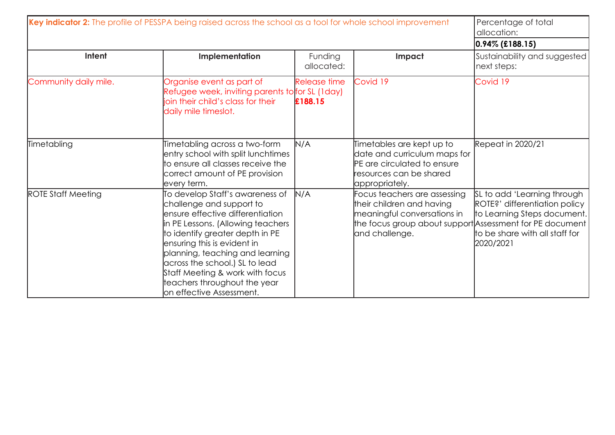|                           | Key indicator 2: The profile of PESSPA being raised across the school as a tool for whole school improvement                                                                                                                                                                                                                                                               |                         |                                                                                                                                                                        | Percentage of total<br>allocation:                                                                                                         |
|---------------------------|----------------------------------------------------------------------------------------------------------------------------------------------------------------------------------------------------------------------------------------------------------------------------------------------------------------------------------------------------------------------------|-------------------------|------------------------------------------------------------------------------------------------------------------------------------------------------------------------|--------------------------------------------------------------------------------------------------------------------------------------------|
|                           |                                                                                                                                                                                                                                                                                                                                                                            |                         |                                                                                                                                                                        | $0.94\%$ (£188.15)                                                                                                                         |
| Intent                    | Implementation                                                                                                                                                                                                                                                                                                                                                             | Funding<br>allocated:   | Impact                                                                                                                                                                 | Sustainability and suggested<br>next steps:                                                                                                |
| Community daily mile.     | Organise event as part of<br>Refugee week, inviting parents to for SL (1 day)<br>ioin their child's class for their<br>daily mile timeslot.                                                                                                                                                                                                                                | Release time<br>£188.15 | Covid 19                                                                                                                                                               | Covid 19                                                                                                                                   |
| Timetabling               | Timetabling across a two-form<br>entry school with split lunchtimes<br>to ensure all classes receive the<br>correct amount of PE provision<br>every term.                                                                                                                                                                                                                  | N/A                     | Timetables are kept up to<br>date and curriculum maps for<br>PE are circulated to ensure<br>resources can be shared<br>appropriately.                                  | Repeat in 2020/21                                                                                                                          |
| <b>ROTE Staff Meeting</b> | To develop Staff's awareness of<br>challenge and support to<br>ensure effective differentiation<br>in PE Lessons. (Allowing teachers<br>to identify greater depth in PE<br>ensuring this is evident in<br>planning, teaching and learning<br>across the school.) SL to lead<br>Staff Meeting & work with focus<br>teachers throughout the year<br>on effective Assessment. | N/A                     | Focus teachers are assessing<br>their children and having<br>meaningful conversations in<br>the focus group about support Assessment for PE document<br>and challenge. | SL to add 'Learning through<br>ROTE?' differentiation policy<br>to Learning Steps document.<br>to be share with all staff for<br>2020/2021 |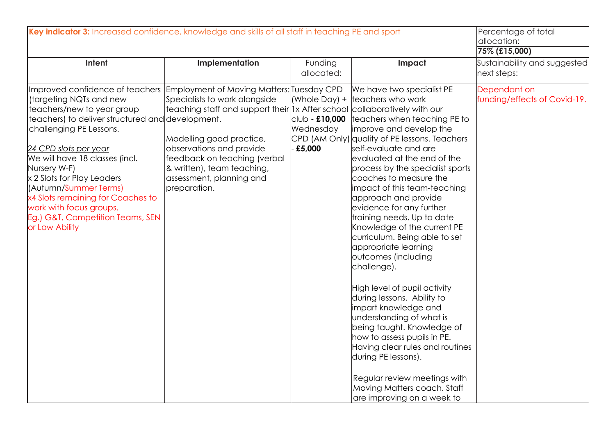| Key indicator 3: Increased confidence, knowledge and skills of all staff in teaching PE and sport                                                                                                                                                                                                                                                                                                                                                                           |                                                                                                                                                                                                                                                     |                                                            | Percentage of total<br>allocation:<br>75% (£15,000)                                                                                                                                                                                                                                                                                                                                                                                                                                                                                                                                                                                                                                                                                                                                                                                                                                                |                                              |
|-----------------------------------------------------------------------------------------------------------------------------------------------------------------------------------------------------------------------------------------------------------------------------------------------------------------------------------------------------------------------------------------------------------------------------------------------------------------------------|-----------------------------------------------------------------------------------------------------------------------------------------------------------------------------------------------------------------------------------------------------|------------------------------------------------------------|----------------------------------------------------------------------------------------------------------------------------------------------------------------------------------------------------------------------------------------------------------------------------------------------------------------------------------------------------------------------------------------------------------------------------------------------------------------------------------------------------------------------------------------------------------------------------------------------------------------------------------------------------------------------------------------------------------------------------------------------------------------------------------------------------------------------------------------------------------------------------------------------------|----------------------------------------------|
| Intent                                                                                                                                                                                                                                                                                                                                                                                                                                                                      | Implementation                                                                                                                                                                                                                                      | Funding<br>allocated:                                      | Impact                                                                                                                                                                                                                                                                                                                                                                                                                                                                                                                                                                                                                                                                                                                                                                                                                                                                                             | Sustainability and suggested<br>next steps:  |
| Improved confidence of teachers   Employment of Moving Matters: Tuesday CPD<br>(targeting NQTs and new<br>teachers/new to year group<br>teachers) to deliver structured and development.<br>challenging PE Lessons.<br>24 CPD slots per year<br>We will have 18 classes (incl.<br>Nursery W-F)<br>x 2 Slots for Play Leaders<br>(Autumn/Summer Terms)<br>x4 Slots remaining for Coaches to<br>work with focus groups.<br>Eg.) G&T, Competition Teams, SEN<br>or Low Ability | Specialists to work alongside<br>teaching staff and support their 1x After school<br>Modelling good practice,<br>observations and provide<br>feedback on teaching (verbal<br>& written), team teaching,<br>assessment, planning and<br>preparation. | (Whole Day) +<br>$ $ club - £10,000<br>Wednesday<br>£5,000 | We have two specialist PE<br>teachers who work<br>collaboratively with our<br>teachers when teaching PE to<br>improve and develop the<br>CPD (AM Only) quality of PE lessons. Teachers<br>self-evaluate and are<br>evaluated at the end of the<br>process by the specialist sports<br>coaches to measure the<br>impact of this team-teaching<br>approach and provide<br>evidence for any further<br>training needs. Up to date<br>Knowledge of the current PE<br>curriculum. Being able to set<br>appropriate learning<br>outcomes (including<br>challenge).<br>High level of pupil activity<br>during lessons. Ability to<br>impart knowledge and<br>understanding of what is<br>being taught. Knowledge of<br>how to assess pupils in PE.<br>Having clear rules and routines<br>during PE lessons).<br>Regular review meetings with<br>Moving Matters coach. Staff<br>are improving on a week to | Dependant on<br>funding/effects of Covid-19. |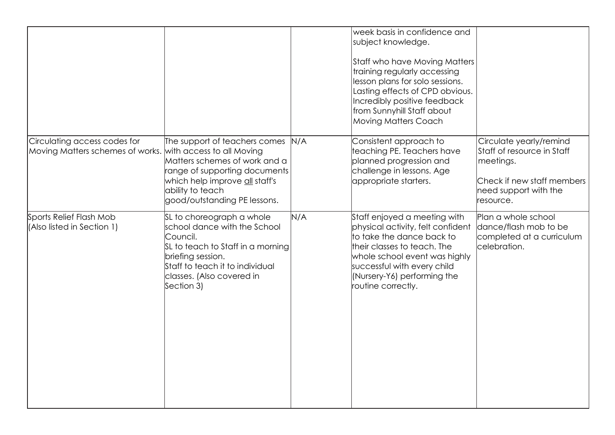|                                                                                            |                                                                                                                                                                                                               |     | week basis in confidence and<br>subject knowledge.<br>Staff who have Moving Matters<br>training regularly accessing<br>lesson plans for solo sessions.<br>Lasting effects of CPD obvious.<br>Incredibly positive feedback<br>from Sunnyhill Staff about<br><b>Moving Matters Coach</b> |                                                                                                                                        |
|--------------------------------------------------------------------------------------------|---------------------------------------------------------------------------------------------------------------------------------------------------------------------------------------------------------------|-----|----------------------------------------------------------------------------------------------------------------------------------------------------------------------------------------------------------------------------------------------------------------------------------------|----------------------------------------------------------------------------------------------------------------------------------------|
| Circulating access codes for<br>Moving Matters schemes of works. with access to all Moving | The support of teachers comes<br>Matters schemes of work and a<br>range of supporting documents<br>which help improve <u>all</u> staff's<br>ability to teach<br>good/outstanding PE lessons.                  | N/A | Consistent approach to<br>teaching PE. Teachers have<br>planned progression and<br>challenge in lessons. Age<br>appropriate starters.                                                                                                                                                  | Circulate yearly/remind<br>Staff of resource in Staff<br>meetings.<br>Check if new staff members<br>need support with the<br>resource. |
| Sports Relief Flash Mob<br>(Also listed in Section 1)                                      | SL to choreograph a whole<br>school dance with the School<br>Council.<br>SL to teach to Staff in a morning<br>briefing session.<br>Staff to teach it to individual<br>classes. (Also covered in<br>Section 3) | N/A | Staff enjoyed a meeting with<br>physical activity, felt confident<br>to take the dance back to<br>their classes to teach. The<br>whole school event was highly<br>successful with every child<br>(Nursery-Y6) performing the<br>routine correctly.                                     | Plan a whole school<br>dance/flash mob to be<br>completed at a curriculum<br>celebration.                                              |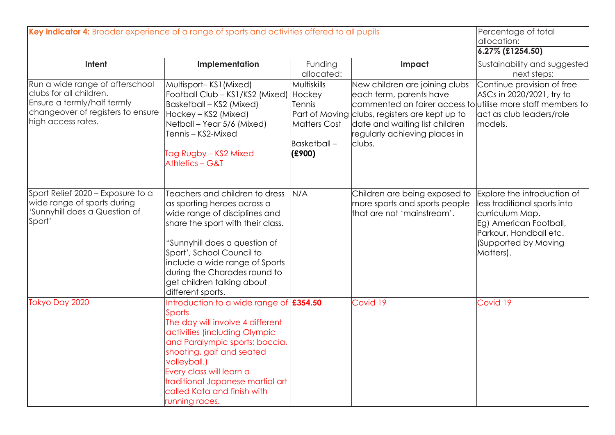| Key indicator 4: Broader experience of a range of sports and activities offered to all pupils                                                        |                                                                                                                                                                                                                                                                                                                                      |                                                                           |                                                                                                                                                                                                                                                         | Percentage of total<br>allocation:<br>$6.27\%$ (£1254.50)                                                                                                               |
|------------------------------------------------------------------------------------------------------------------------------------------------------|--------------------------------------------------------------------------------------------------------------------------------------------------------------------------------------------------------------------------------------------------------------------------------------------------------------------------------------|---------------------------------------------------------------------------|---------------------------------------------------------------------------------------------------------------------------------------------------------------------------------------------------------------------------------------------------------|-------------------------------------------------------------------------------------------------------------------------------------------------------------------------|
| Intent                                                                                                                                               | Implementation                                                                                                                                                                                                                                                                                                                       | Funding<br>allocated:                                                     | Impact                                                                                                                                                                                                                                                  | Sustainability and suggested<br>next steps:                                                                                                                             |
| Run a wide range of afterschool<br>clubs for all children.<br>Ensure a termly/half termly<br>changeover of registers to ensure<br>high access rates. | Multisport-KS1 (Mixed)<br>Football Club - KS1/KS2 (Mixed) Hockey<br>Basketball - KS2 (Mixed)<br>Hockey – KS2 (Mixed)<br>Netball - Year 5/6 (Mixed)<br>Tennis – KS2-Mixed<br>Tag Rugby – KS2 Mixed<br><b>Athletics - G&amp;T</b>                                                                                                      | Multiskills<br>Tennis<br><b>Matters Cost</b><br>$B$ asketball –<br>(E900) | New children are joining clubs<br>each term, parents have<br>commented on fairer access to utilise more staff members to<br>Part of Moving clubs, registers are kept up to<br>date and waiting list children<br>regularly achieving places in<br>clubs. | Continue provision of free<br>ASCs in 2020/2021, try to<br>act as club leaders/role<br>models.                                                                          |
| Sport Relief 2020 - Exposure to a<br>wide range of sports during<br>'Sunnyhill does a Question of<br>Sport'                                          | Teachers and children to dress<br>as sporting heroes across a<br>wide range of disciplines and<br>share the sport with their class.<br>"Sunnyhill does a question of<br>Sport', School Council to<br>include a wide range of Sports<br>during the Charades round to<br>get children talking about<br>different sports.               | N/A                                                                       | Children are being exposed to<br>more sports and sports people<br>that are not 'mainstream'.                                                                                                                                                            | Explore the introduction of<br>less traditional sports into<br>curriculum Map.<br>Eg) American Football,<br>Parkour, Handball etc.<br>(Supported by Moving<br>Matters). |
| Tokyo Day 2020                                                                                                                                       | Introduction to a wide range of <b>£354.50</b><br><b>Sports</b><br>The day will involve 4 different<br>activities (including Olympic<br>and Paralympic sports; boccia,<br>shooting, golf and seated<br>volleyball.)<br>Every class will learn a<br>traditional Japanese martial art<br>called Kata and finish with<br>running races. |                                                                           | Covid 19                                                                                                                                                                                                                                                | Covid 19                                                                                                                                                                |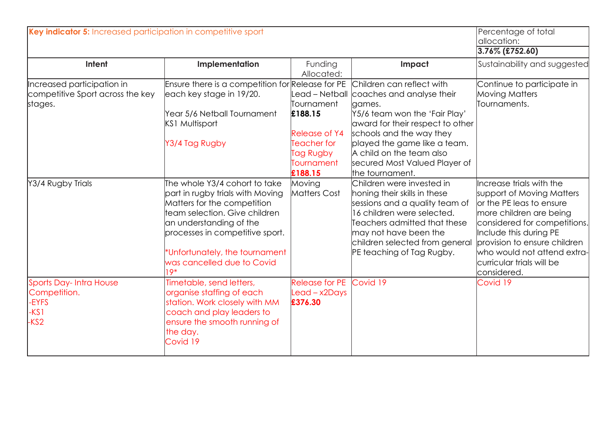| Key indicator 5: Increased participation in competitive sport                        |                                                                                                                                                                                                                                                                          |                                                                                                           |                                                                                                                                                                                                                                                                                                  | Percentage of total<br>allocation:<br>3.76% (£752.60)                                                                                                                                                                                                                             |
|--------------------------------------------------------------------------------------|--------------------------------------------------------------------------------------------------------------------------------------------------------------------------------------------------------------------------------------------------------------------------|-----------------------------------------------------------------------------------------------------------|--------------------------------------------------------------------------------------------------------------------------------------------------------------------------------------------------------------------------------------------------------------------------------------------------|-----------------------------------------------------------------------------------------------------------------------------------------------------------------------------------------------------------------------------------------------------------------------------------|
| Intent                                                                               | Implementation                                                                                                                                                                                                                                                           | Funding<br>Allocated:                                                                                     | Impact                                                                                                                                                                                                                                                                                           | Sustainability and suggested                                                                                                                                                                                                                                                      |
| Increased participation in<br>competitive Sport across the key<br>stages.            | Ensure there is a competition for Release for PE<br>each key stage in 19/20.<br>Year 5/6 Netball Tournament<br><b>KS1 Multisport</b><br>Y3/4 Tag Rugby                                                                                                                   | Tournament<br>£188.15<br><b>Release of Y4</b><br>Teacher for<br>Tag Rugby<br><b>Tournament</b><br>£188.15 | Children can reflect with<br>Lead – Netball coaches and analyse their<br>games.<br>Y5/6 team won the 'Fair Play'<br>award for their respect to other<br>schools and the way they<br>played the game like a team.<br>A child on the team also<br>secured Most Valued Player of<br>the tournament. | Continue to participate in<br><b>Moving Matters</b><br>Tournaments.                                                                                                                                                                                                               |
| Y3/4 Rugby Trials                                                                    | The whole Y3/4 cohort to take<br>part in rugby trials with Moving<br>Matters for the competition<br>team selection. Give children<br>an understanding of the<br>processes in competitive sport.<br>*Unfortunately, the tournament<br>was cancelled due to Covid<br>$19*$ | Moving<br><b>Matters Cost</b>                                                                             | Children were invested in<br>honing their skills in these<br>sessions and a quality team of<br>16 children were selected.<br>Teachers admitted that these<br>may not have been the<br>children selected from general<br>PE teaching of Tag Rugby.                                                | Increase trials with the<br>support of Moving Matters<br>or the PE leas to ensure<br>more children are being<br>considered for competitions.<br>Include this during PE<br>provision to ensure children<br>who would not attend extra-<br>curricular trials will be<br>considered. |
| <b>Sports Day-Intra House</b><br>Competition.<br>-EYFS<br>$-KS1$<br>-KS <sub>2</sub> | Timetable, send letters,<br>organise staffing of each<br>station. Work closely with MM<br>coach and play leaders to<br>ensure the smooth running of<br>the day.<br>Covid 19                                                                                              | <b>Release for PE</b><br>Lead – x2Days<br>£376.30                                                         | Covid 19                                                                                                                                                                                                                                                                                         | Covid 19                                                                                                                                                                                                                                                                          |